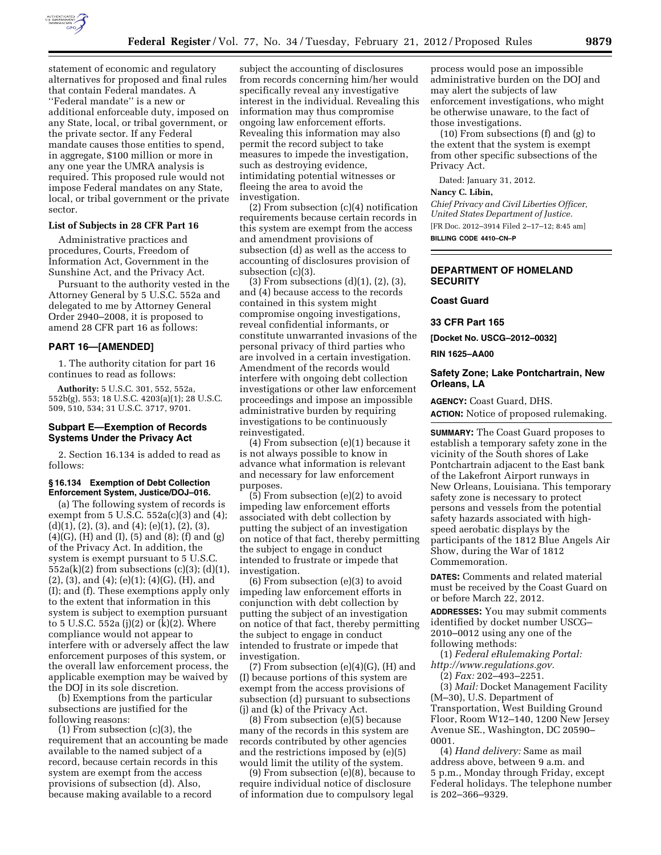

statement of economic and regulatory alternatives for proposed and final rules that contain Federal mandates. A ''Federal mandate'' is a new or additional enforceable duty, imposed on any State, local, or tribal government, or the private sector. If any Federal mandate causes those entities to spend, in aggregate, \$100 million or more in any one year the UMRA analysis is required. This proposed rule would not impose Federal mandates on any State, local, or tribal government or the private sector.

### **List of Subjects in 28 CFR Part 16**

Administrative practices and procedures, Courts, Freedom of Information Act, Government in the Sunshine Act, and the Privacy Act.

Pursuant to the authority vested in the Attorney General by 5 U.S.C. 552a and delegated to me by Attorney General Order 2940–2008, it is proposed to amend 28 CFR part 16 as follows:

## **PART 16—[AMENDED]**

1. The authority citation for part 16 continues to read as follows:

**Authority:** 5 U.S.C. 301, 552, 552a, 552b(g), 553; 18 U.S.C. 4203(a)(1); 28 U.S.C. 509, 510, 534; 31 U.S.C. 3717, 9701.

# **Subpart E—Exemption of Records Systems Under the Privacy Act**

2. Section 16.134 is added to read as follows:

### **§ 16.134 Exemption of Debt Collection Enforcement System, Justice/DOJ–016.**

(a) The following system of records is exempt from  $5$  U.S.C.  $552a(c)(3)$  and  $(4)$ ; (d)(1), (2), (3), and (4); (e)(1), (2), (3),  $(4)(G)$ ,  $(H)$  and  $(I)$ ,  $(5)$  and  $(8)$ ;  $(I)$  and  $(g)$ of the Privacy Act. In addition, the system is exempt pursuant to 5 U.S.C.  $552a(k)(2)$  from subsections (c)(3); (d)(1), (2), (3), and (4); (e)(1); (4)(G), (H), and (I); and (f). These exemptions apply only to the extent that information in this system is subject to exemption pursuant to 5 U.S.C. 552a (j)(2) or (k)(2). Where compliance would not appear to interfere with or adversely affect the law enforcement purposes of this system, or the overall law enforcement process, the applicable exemption may be waived by the DOJ in its sole discretion.

(b) Exemptions from the particular subsections are justified for the following reasons:

(1) From subsection (c)(3), the requirement that an accounting be made available to the named subject of a record, because certain records in this system are exempt from the access provisions of subsection (d). Also, because making available to a record

subject the accounting of disclosures from records concerning him/her would specifically reveal any investigative interest in the individual. Revealing this information may thus compromise ongoing law enforcement efforts. Revealing this information may also permit the record subject to take measures to impede the investigation, such as destroying evidence, intimidating potential witnesses or fleeing the area to avoid the investigation.

(2) From subsection (c)(4) notification requirements because certain records in this system are exempt from the access and amendment provisions of subsection (d) as well as the access to accounting of disclosures provision of subsection (c)(3).

(3) From subsections (d)(1), (2), (3), and (4) because access to the records contained in this system might compromise ongoing investigations, reveal confidential informants, or constitute unwarranted invasions of the personal privacy of third parties who are involved in a certain investigation. Amendment of the records would interfere with ongoing debt collection investigations or other law enforcement proceedings and impose an impossible administrative burden by requiring investigations to be continuously reinvestigated.

(4) From subsection (e)(1) because it is not always possible to know in advance what information is relevant and necessary for law enforcement purposes.

(5) From subsection (e)(2) to avoid impeding law enforcement efforts associated with debt collection by putting the subject of an investigation on notice of that fact, thereby permitting the subject to engage in conduct intended to frustrate or impede that investigation.

(6) From subsection (e)(3) to avoid impeding law enforcement efforts in conjunction with debt collection by putting the subject of an investigation on notice of that fact, thereby permitting the subject to engage in conduct intended to frustrate or impede that investigation.

 $(7)$  From subsection  $(e)(4)(G)$ ,  $(H)$  and (I) because portions of this system are exempt from the access provisions of subsection (d) pursuant to subsections (j) and (k) of the Privacy Act.

(8) From subsection (e)(5) because many of the records in this system are records contributed by other agencies and the restrictions imposed by (e)(5) would limit the utility of the system.

(9) From subsection (e)(8), because to require individual notice of disclosure of information due to compulsory legal

process would pose an impossible administrative burden on the DOJ and may alert the subjects of law enforcement investigations, who might be otherwise unaware, to the fact of those investigations.

(10) From subsections (f) and (g) to the extent that the system is exempt from other specific subsections of the Privacy Act.

Dated: January 31, 2012.

#### **Nancy C. Libin,**

*Chief Privacy and Civil Liberties Officer, United States Department of Justice.*  [FR Doc. 2012–3914 Filed 2–17–12; 8:45 am] **BILLING CODE 4410–CN–P** 

# **DEPARTMENT OF HOMELAND SECURITY**

### **Coast Guard**

**33 CFR Part 165** 

**[Docket No. USCG–2012–0032]** 

**RIN 1625–AA00** 

## **Safety Zone; Lake Pontchartrain, New Orleans, LA**

**AGENCY:** Coast Guard, DHS. **ACTION:** Notice of proposed rulemaking.

**SUMMARY:** The Coast Guard proposes to establish a temporary safety zone in the vicinity of the South shores of Lake Pontchartrain adjacent to the East bank of the Lakefront Airport runways in New Orleans, Louisiana. This temporary safety zone is necessary to protect persons and vessels from the potential safety hazards associated with highspeed aerobatic displays by the participants of the 1812 Blue Angels Air Show, during the War of 1812 Commemoration.

**DATES:** Comments and related material must be received by the Coast Guard on or before March 22, 2012.

**ADDRESSES:** You may submit comments identified by docket number USCG– 2010–0012 using any one of the following methods:

(1) *Federal eRulemaking Portal:* 

*[http://www.regulations.gov.](http://www.regulations.gov)* 

(2) *Fax:* 202–493–2251.

(3) *Mail:* Docket Management Facility (M–30), U.S. Department of Transportation, West Building Ground Floor, Room W12–140, 1200 New Jersey Avenue SE., Washington, DC 20590– 0001.

(4) *Hand delivery:* Same as mail address above, between 9 a.m. and 5 p.m., Monday through Friday, except Federal holidays. The telephone number is 202–366–9329.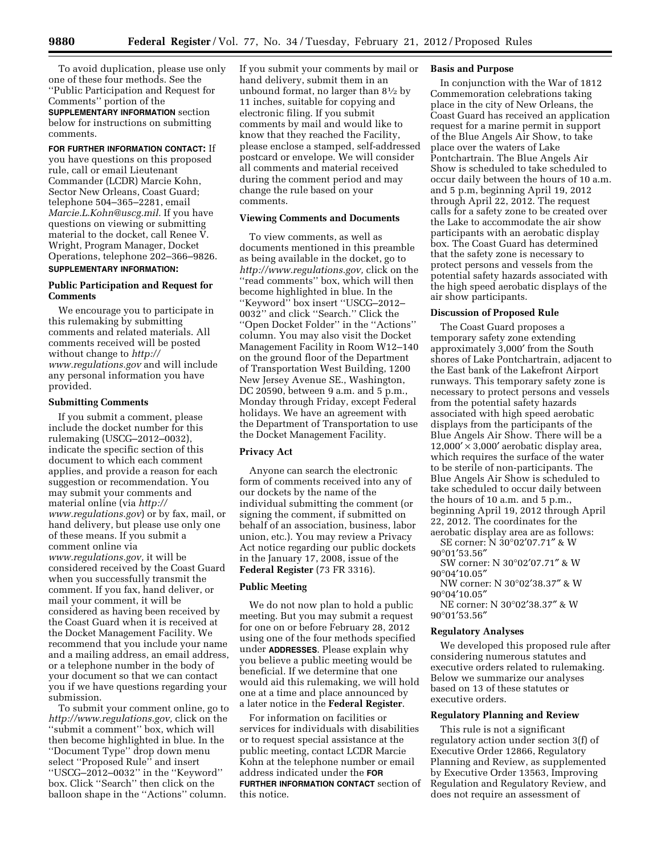To avoid duplication, please use only one of these four methods. See the ''Public Participation and Request for Comments'' portion of the

**SUPPLEMENTARY INFORMATION** section below for instructions on submitting comments.

# **FOR FURTHER INFORMATION CONTACT:** If

you have questions on this proposed rule, call or email Lieutenant Commander (LCDR) Marcie Kohn, Sector New Orleans, Coast Guard; telephone 504–365–2281, email *[Marcie.L.Kohn@uscg.mil.](mailto:Marcie.L.Kohn@uscg.mil)* If you have questions on viewing or submitting material to the docket, call Renee V. Wright, Program Manager, Docket Operations, telephone 202–366–9826. **SUPPLEMENTARY INFORMATION:** 

# **Public Participation and Request for Comments**

We encourage you to participate in this rulemaking by submitting comments and related materials. All comments received will be posted without change to *[http://](http://www.regulations.gov) [www.regulations.gov](http://www.regulations.gov)* and will include any personal information you have provided.

# **Submitting Comments**

If you submit a comment, please include the docket number for this rulemaking (USCG–2012–0032), indicate the specific section of this document to which each comment applies, and provide a reason for each suggestion or recommendation. You may submit your comments and material online (via *[http://](http://www.regulations.gov) [www.regulations.gov](http://www.regulations.gov)*) or by fax, mail, or hand delivery, but please use only one of these means. If you submit a comment online via *[www.regulations.gov,](http://www.regulations.gov)* it will be considered received by the Coast Guard when you successfully transmit the comment. If you fax, hand deliver, or mail your comment, it will be considered as having been received by the Coast Guard when it is received at the Docket Management Facility. We recommend that you include your name and a mailing address, an email address, or a telephone number in the body of your document so that we can contact you if we have questions regarding your submission.

To submit your comment online, go to *[http://www.regulations.gov,](http://www.regulations.gov)* click on the ''submit a comment'' box, which will then become highlighted in blue. In the ''Document Type'' drop down menu select "Proposed Rule" and insert ''USCG–2012–0032'' in the ''Keyword'' box. Click ''Search'' then click on the balloon shape in the ''Actions'' column.

If you submit your comments by mail or hand delivery, submit them in an unbound format, no larger than  $8\frac{1}{2}$  by 11 inches, suitable for copying and electronic filing. If you submit comments by mail and would like to know that they reached the Facility, please enclose a stamped, self-addressed postcard or envelope. We will consider all comments and material received during the comment period and may change the rule based on your comments.

### **Viewing Comments and Documents**

To view comments, as well as documents mentioned in this preamble as being available in the docket, go to *[http://www.regulations.gov,](http://www.regulations.gov)* click on the ''read comments'' box, which will then become highlighted in blue. In the ''Keyword'' box insert ''USCG–2012– 0032'' and click ''Search.'' Click the ''Open Docket Folder'' in the ''Actions'' column. You may also visit the Docket Management Facility in Room W12–140 on the ground floor of the Department of Transportation West Building, 1200 New Jersey Avenue SE., Washington, DC 20590, between 9 a.m. and 5 p.m., Monday through Friday, except Federal holidays. We have an agreement with the Department of Transportation to use the Docket Management Facility.

## **Privacy Act**

Anyone can search the electronic form of comments received into any of our dockets by the name of the individual submitting the comment (or signing the comment, if submitted on behalf of an association, business, labor union, etc.). You may review a Privacy Act notice regarding our public dockets in the January 17, 2008, issue of the **Federal Register** (73 FR 3316).

### **Public Meeting**

We do not now plan to hold a public meeting. But you may submit a request for one on or before February 28, 2012 using one of the four methods specified under **ADDRESSES**. Please explain why you believe a public meeting would be beneficial. If we determine that one would aid this rulemaking, we will hold one at a time and place announced by a later notice in the **Federal Register**.

For information on facilities or services for individuals with disabilities or to request special assistance at the public meeting, contact LCDR Marcie Kohn at the telephone number or email address indicated under the **FOR FURTHER INFORMATION CONTACT** section of this notice.

# **Basis and Purpose**

In conjunction with the War of 1812 Commemoration celebrations taking place in the city of New Orleans, the Coast Guard has received an application request for a marine permit in support of the Blue Angels Air Show, to take place over the waters of Lake Pontchartrain. The Blue Angels Air Show is scheduled to take scheduled to occur daily between the hours of 10 a.m. and 5 p.m, beginning April 19, 2012 through April 22, 2012. The request calls for a safety zone to be created over the Lake to accommodate the air show participants with an aerobatic display box. The Coast Guard has determined that the safety zone is necessary to protect persons and vessels from the potential safety hazards associated with the high speed aerobatic displays of the air show participants.

### **Discussion of Proposed Rule**

The Coast Guard proposes a temporary safety zone extending approximately 3,000′ from the South shores of Lake Pontchartrain, adjacent to the East bank of the Lakefront Airport runways. This temporary safety zone is necessary to protect persons and vessels from the potential safety hazards associated with high speed aerobatic displays from the participants of the Blue Angels Air Show. There will be a  $12,000' \times 3,000'$  aerobatic display area, which requires the surface of the water to be sterile of non-participants. The Blue Angels Air Show is scheduled to take scheduled to occur daily between the hours of 10 a.m. and 5 p.m., beginning April 19, 2012 through April 22, 2012. The coordinates for the aerobatic display area are as follows:

SE corner: N 30°02′07.71″ & W 90°01′53.56″

SW corner: N 30°02′07.71″ & W 90°04′10.05″

NW corner: N 30°02′38.37″ & W 90°04′10.05″

NE corner: N 30°02′38.37″ & W 90°01′53.56″

#### **Regulatory Analyses**

We developed this proposed rule after considering numerous statutes and executive orders related to rulemaking. Below we summarize our analyses based on 13 of these statutes or executive orders.

### **Regulatory Planning and Review**

This rule is not a significant regulatory action under section 3(f) of Executive Order 12866, Regulatory Planning and Review, as supplemented by Executive Order 13563, Improving Regulation and Regulatory Review, and does not require an assessment of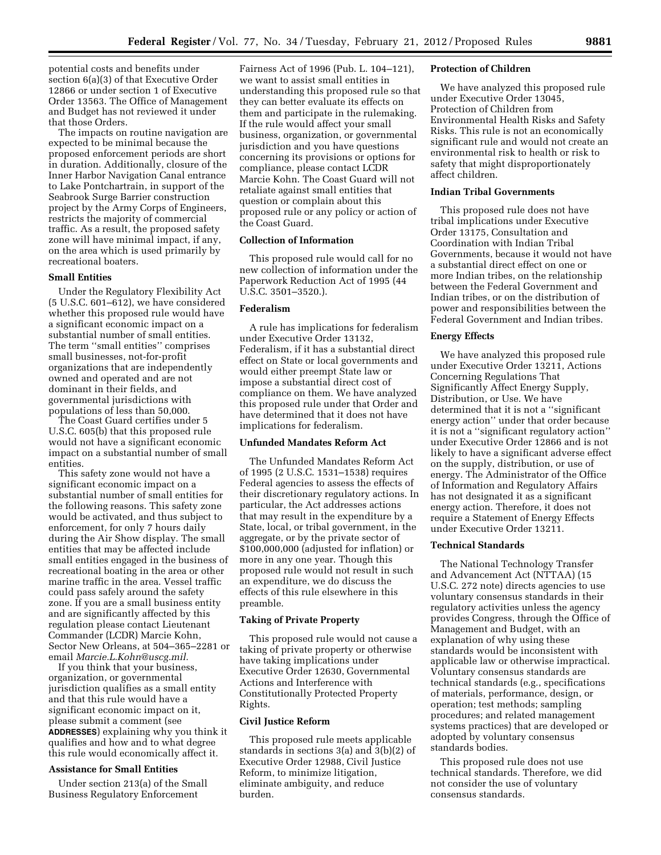potential costs and benefits under section 6(a)(3) of that Executive Order 12866 or under section 1 of Executive Order 13563. The Office of Management and Budget has not reviewed it under that those Orders.

The impacts on routine navigation are expected to be minimal because the proposed enforcement periods are short in duration. Additionally, closure of the Inner Harbor Navigation Canal entrance to Lake Pontchartrain, in support of the Seabrook Surge Barrier construction project by the Army Corps of Engineers, restricts the majority of commercial traffic. As a result, the proposed safety zone will have minimal impact, if any, on the area which is used primarily by recreational boaters.

# **Small Entities**

Under the Regulatory Flexibility Act (5 U.S.C. 601–612), we have considered whether this proposed rule would have a significant economic impact on a substantial number of small entities. The term ''small entities'' comprises small businesses, not-for-profit organizations that are independently owned and operated and are not dominant in their fields, and governmental jurisdictions with populations of less than 50,000.

The Coast Guard certifies under 5 U.S.C. 605(b) that this proposed rule would not have a significant economic impact on a substantial number of small entities.

This safety zone would not have a significant economic impact on a substantial number of small entities for the following reasons. This safety zone would be activated, and thus subject to enforcement, for only 7 hours daily during the Air Show display. The small entities that may be affected include small entities engaged in the business of recreational boating in the area or other marine traffic in the area. Vessel traffic could pass safely around the safety zone. If you are a small business entity and are significantly affected by this regulation please contact Lieutenant Commander (LCDR) Marcie Kohn, Sector New Orleans, at 504–365–2281 or email *[Marcie.L.Kohn@uscg.mil.](mailto:Marcie.L.Kohn@uscg.mil)* 

If you think that your business, organization, or governmental jurisdiction qualifies as a small entity and that this rule would have a significant economic impact on it, please submit a comment (see **ADDRESSES**) explaining why you think it qualifies and how and to what degree this rule would economically affect it.

### **Assistance for Small Entities**

Under section 213(a) of the Small Business Regulatory Enforcement

Fairness Act of 1996 (Pub. L. 104–121), we want to assist small entities in understanding this proposed rule so that they can better evaluate its effects on them and participate in the rulemaking. If the rule would affect your small business, organization, or governmental jurisdiction and you have questions concerning its provisions or options for compliance, please contact LCDR Marcie Kohn. The Coast Guard will not retaliate against small entities that question or complain about this proposed rule or any policy or action of the Coast Guard.

### **Collection of Information**

This proposed rule would call for no new collection of information under the Paperwork Reduction Act of 1995 (44 U.S.C. 3501–3520.).

#### **Federalism**

A rule has implications for federalism under Executive Order 13132, Federalism, if it has a substantial direct effect on State or local governments and would either preempt State law or impose a substantial direct cost of compliance on them. We have analyzed this proposed rule under that Order and have determined that it does not have implications for federalism.

### **Unfunded Mandates Reform Act**

The Unfunded Mandates Reform Act of 1995 (2 U.S.C. 1531–1538) requires Federal agencies to assess the effects of their discretionary regulatory actions. In particular, the Act addresses actions that may result in the expenditure by a State, local, or tribal government, in the aggregate, or by the private sector of \$100,000,000 (adjusted for inflation) or more in any one year. Though this proposed rule would not result in such an expenditure, we do discuss the effects of this rule elsewhere in this preamble.

#### **Taking of Private Property**

This proposed rule would not cause a taking of private property or otherwise have taking implications under Executive Order 12630, Governmental Actions and Interference with Constitutionally Protected Property Rights.

### **Civil Justice Reform**

This proposed rule meets applicable standards in sections 3(a) and 3(b)(2) of Executive Order 12988, Civil Justice Reform, to minimize litigation, eliminate ambiguity, and reduce burden.

### **Protection of Children**

We have analyzed this proposed rule under Executive Order 13045, Protection of Children from Environmental Health Risks and Safety Risks. This rule is not an economically significant rule and would not create an environmental risk to health or risk to safety that might disproportionately affect children.

# **Indian Tribal Governments**

This proposed rule does not have tribal implications under Executive Order 13175, Consultation and Coordination with Indian Tribal Governments, because it would not have a substantial direct effect on one or more Indian tribes, on the relationship between the Federal Government and Indian tribes, or on the distribution of power and responsibilities between the Federal Government and Indian tribes.

# **Energy Effects**

We have analyzed this proposed rule under Executive Order 13211, Actions Concerning Regulations That Significantly Affect Energy Supply, Distribution, or Use. We have determined that it is not a ''significant energy action'' under that order because it is not a ''significant regulatory action'' under Executive Order 12866 and is not likely to have a significant adverse effect on the supply, distribution, or use of energy. The Administrator of the Office of Information and Regulatory Affairs has not designated it as a significant energy action. Therefore, it does not require a Statement of Energy Effects under Executive Order 13211.

## **Technical Standards**

The National Technology Transfer and Advancement Act (NTTAA) (15 U.S.C. 272 note) directs agencies to use voluntary consensus standards in their regulatory activities unless the agency provides Congress, through the Office of Management and Budget, with an explanation of why using these standards would be inconsistent with applicable law or otherwise impractical. Voluntary consensus standards are technical standards (e.g., specifications of materials, performance, design, or operation; test methods; sampling procedures; and related management systems practices) that are developed or adopted by voluntary consensus standards bodies.

This proposed rule does not use technical standards. Therefore, we did not consider the use of voluntary consensus standards.